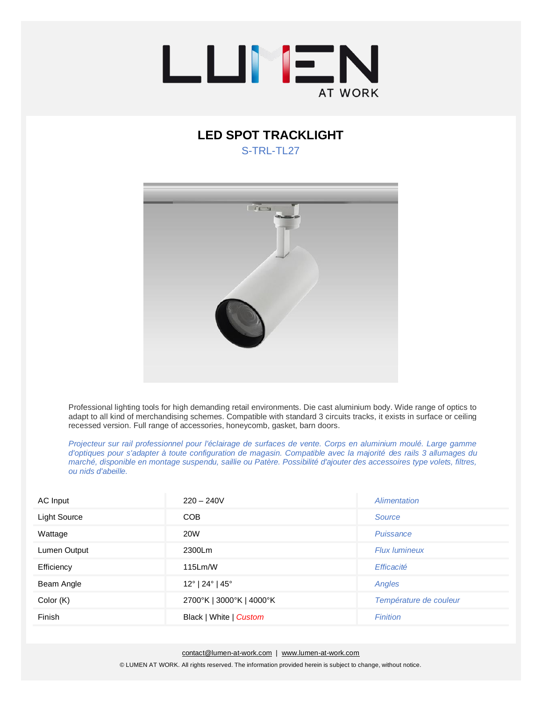

## **LED SPOT TRACKLIGHT**  S-TRL-TL27



Professional lighting tools for high demanding retail environments. Die cast aluminium body. Wide range of optics to adapt to all kind of merchandising schemes. Compatible with standard 3 circuits tracks, it exists in surface or ceiling recessed version. Full range of accessories, honeycomb, gasket, barn doors.

*Projecteur sur rail professionnel pour l'éclairage de surfaces de vente. Corps en aluminium moulé. Large gamme d'optiques pour s'adapter à toute configuration de magasin. Compatible avec la majorité des rails 3 allumages du marché, disponible en montage suspendu, saillie ou Patère. Possibilité d'ajouter des accessoires type volets, filtres, ou nids d'abeille.*

| AC Input            | $220 - 240V$                                 | Alimentation           |
|---------------------|----------------------------------------------|------------------------|
| <b>Light Source</b> | <b>COB</b>                                   | Source                 |
| Wattage             | <b>20W</b>                                   | Puissance              |
| Lumen Output        | 2300Lm                                       | <b>Flux lumineux</b>   |
| Efficiency          | 115Lm/W                                      | Efficacité             |
| Beam Angle          | $12^{\circ}$   24 $^{\circ}$   45 $^{\circ}$ | Angles                 |
| Color (K)           | 2700°K   3000°K   4000°K                     | Température de couleur |
| Finish              | Black   White   Custom                       | <b>Finition</b>        |

[contact@lumen-at-work.com](mailto:contact@lumen-at-work.com) | [www.lumen-at-work.com](http://www.lumen-at-work.com/) © LUMEN AT WORK. All rights reserved. The information provided herein is subject to change, without notice.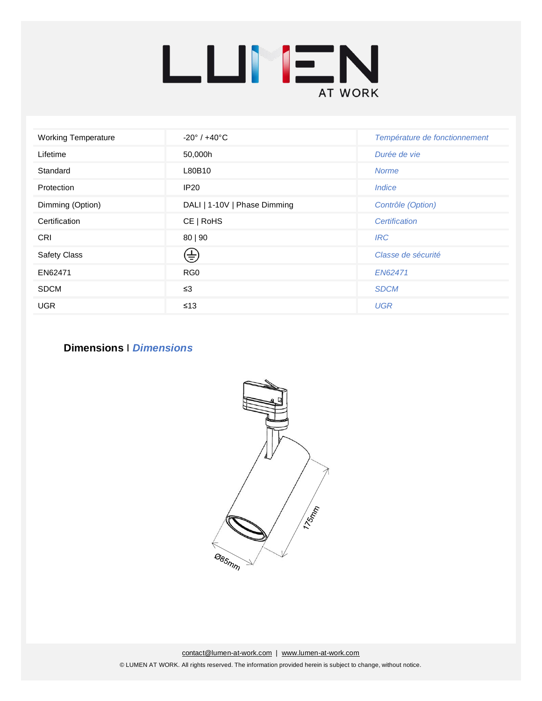

| <b>Working Temperature</b> | $-20^{\circ}$ / $+40^{\circ}$ C | Température de fonctionnement |
|----------------------------|---------------------------------|-------------------------------|
| Lifetime                   | 50,000h                         | Durée de vie                  |
| Standard                   | L80B10                          | <b>Norme</b>                  |
| Protection                 | <b>IP20</b>                     | <i><u><b>Indice</b></u></i>   |
| Dimming (Option)           | DALI   1-10V   Phase Dimming    | Contrôle (Option)             |
| Certification              | CE   RoHS                       | Certification                 |
| <b>CRI</b>                 | 80   90                         | <b>IRC</b>                    |
| <b>Safety Class</b>        | ങ                               | Classe de sécurité            |
| EN62471                    | RG <sub>0</sub>                 | EN62471                       |
| <b>SDCM</b>                | $\leq$ 3                        | <b>SDCM</b>                   |
| <b>UGR</b>                 | $\leq 13$                       | <b>UGR</b>                    |

## **Dimensions** I *Dimensions*